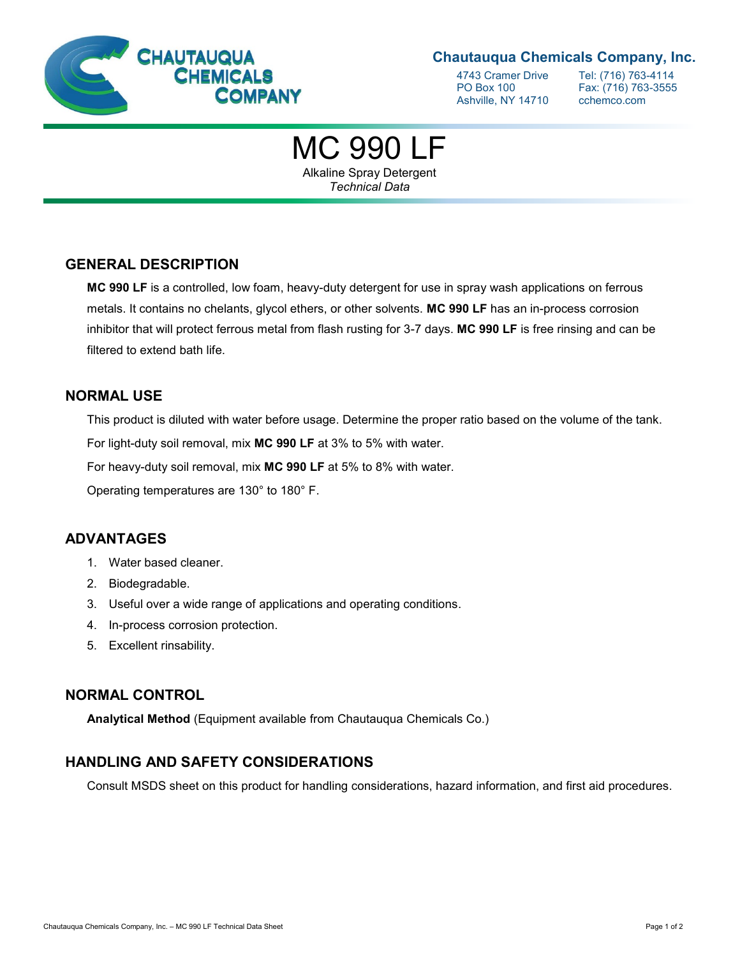

### **Chautauqua Chemicals Company, Inc.**

Ashville, NY 14710 cchemco.com

4743 Cramer Drive Tel: (716) 763-4114<br>PO Box 100 Fax: (716) 763-3555 Fax: (716) 763-3555

# MC 990 LF

Alkaline Spray Detergent *Technical Data*

### **GENERAL DESCRIPTION**

**MC 990 LF** is a controlled, low foam, heavy-duty detergent for use in spray wash applications on ferrous metals. It contains no chelants, glycol ethers, or other solvents. **MC 990 LF** has an in-process corrosion inhibitor that will protect ferrous metal from flash rusting for 3-7 days. **MC 990 LF** is free rinsing and can be filtered to extend bath life.

#### **NORMAL USE**

This product is diluted with water before usage. Determine the proper ratio based on the volume of the tank.

For light-duty soil removal, mix **MC 990 LF** at 3% to 5% with water.

For heavy-duty soil removal, mix **MC 990 LF** at 5% to 8% with water.

Operating temperatures are 130° to 180° F.

### **ADVANTAGES**

- 1. Water based cleaner.
- 2. Biodegradable.
- 3. Useful over a wide range of applications and operating conditions.
- 4. In-process corrosion protection.
- 5. Excellent rinsability.

### **NORMAL CONTROL**

**Analytical Method** (Equipment available from Chautauqua Chemicals Co.)

### **HANDLING AND SAFETY CONSIDERATIONS**

Consult MSDS sheet on this product for handling considerations, hazard information, and first aid procedures.